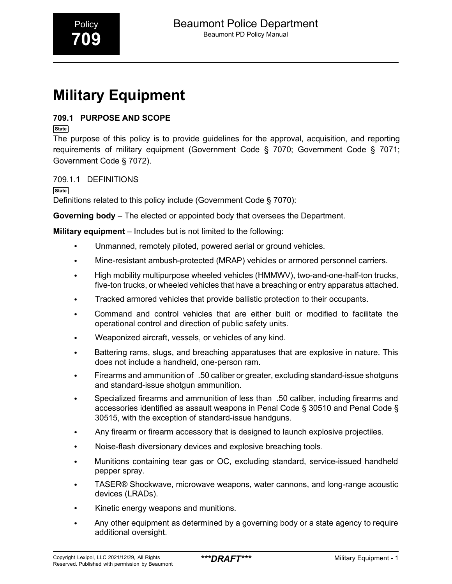# **Military Equipment**

#### **709.1 PURPOSE AND SCOPE**

**State**

The purpose of this policy is to provide guidelines for the approval, acquisition, and reporting requirements of military equipment (Government Code § 7070; Government Code § 7071; Government Code § 7072).

#### 709.1.1 DEFINITIONS

**State** Definitions related to this policy include (Government Code § 7070):

**Governing body** – The elected or appointed body that oversees the Department.

**Military equipment** – Includes but is not limited to the following:

- Unmanned, remotely piloted, powered aerial or ground vehicles.
- Mine-resistant ambush-protected (MRAP) vehicles or armored personnel carriers.
- High mobility multipurpose wheeled vehicles (HMMWV), two-and-one-half-ton trucks, five-ton trucks, or wheeled vehicles that have a breaching or entry apparatus attached.
- Tracked armored vehicles that provide ballistic protection to their occupants.
- Command and control vehicles that are either built or modified to facilitate the operational control and direction of public safety units.
- Weaponized aircraft, vessels, or vehicles of any kind.
- Battering rams, slugs, and breaching apparatuses that are explosive in nature. This does not include a handheld, one-person ram.
- Firearms and ammunition of .50 caliber or greater, excluding standard-issue shotguns and standard-issue shotgun ammunition.
- Specialized firearms and ammunition of less than .50 caliber, including firearms and accessories identified as assault weapons in Penal Code § 30510 and Penal Code § 30515, with the exception of standard-issue handguns.
- Any firearm or firearm accessory that is designed to launch explosive projectiles.
- Noise-flash diversionary devices and explosive breaching tools.
- Munitions containing tear gas or OC, excluding standard, service-issued handheld pepper spray.
- TASER® Shockwave, microwave weapons, water cannons, and long-range acoustic devices (LRADs).
- Kinetic energy weapons and munitions.
- Any other equipment as determined by a governing body or a state agency to require additional oversight.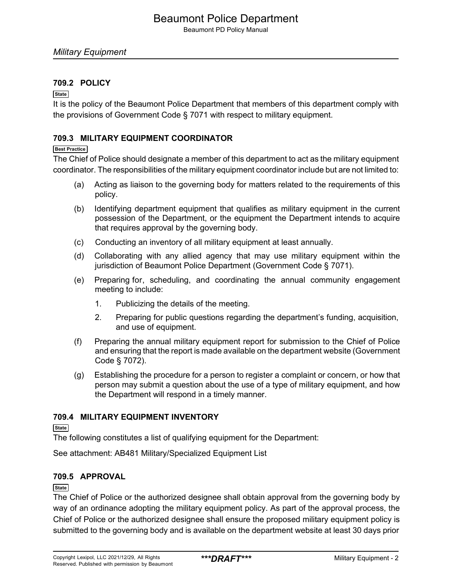Beaumont PD Policy Manual

#### **709.2 POLICY**

#### **State**

It is the policy of the Beaumont Police Department that members of this department comply with the provisions of Government Code § 7071 with respect to military equipment.

#### **709.3 MILITARY EQUIPMENT COORDINATOR**

#### **Best Practice**

The Chief of Police should designate a member of this department to act as the military equipment coordinator. The responsibilities of the military equipment coordinator include but are not limited to:

- (a) Acting as liaison to the governing body for matters related to the requirements of this policy.
- (b) Identifying department equipment that qualifies as military equipment in the current possession of the Department, or the equipment the Department intends to acquire that requires approval by the governing body.
- (c) Conducting an inventory of all military equipment at least annually.
- (d) Collaborating with any allied agency that may use military equipment within the jurisdiction of Beaumont Police Department (Government Code § 7071).
- (e) Preparing for, scheduling, and coordinating the annual community engagement meeting to include:
	- 1. Publicizing the details of the meeting.
	- 2. Preparing for public questions regarding the department's funding, acquisition, and use of equipment.
- (f) Preparing the annual military equipment report for submission to the Chief of Police and ensuring that the report is made available on the department website (Government Code § 7072).
- (g) Establishing the procedure for a person to register a complaint or concern, or how that person may submit a question about the use of a type of military equipment, and how the Department will respond in a timely manner.

#### **709.4 MILITARY EQUIPMENT INVENTORY**

**State**

The following constitutes a list of qualifying equipment for the Department:

See attachment: AB481 Military/Specialized Equipment List

#### **709.5 APPROVAL**

#### **State**

The Chief of Police or the authorized designee shall obtain approval from the governing body by way of an ordinance adopting the military equipment policy. As part of the approval process, the Chief of Police or the authorized designee shall ensure the proposed military equipment policy is submitted to the governing body and is available on the department website at least 30 days prior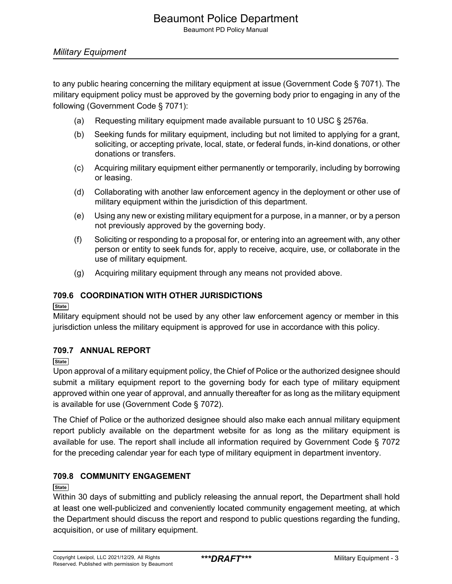### Beaumont Police Department

Beaumont PD Policy Manual

#### *Military Equipment*

to any public hearing concerning the military equipment at issue (Government Code § 7071). The military equipment policy must be approved by the governing body prior to engaging in any of the following (Government Code § 7071):

- (a) Requesting military equipment made available pursuant to 10 USC § 2576a.
- (b) Seeking funds for military equipment, including but not limited to applying for a grant, soliciting, or accepting private, local, state, or federal funds, in-kind donations, or other donations or transfers.
- (c) Acquiring military equipment either permanently or temporarily, including by borrowing or leasing.
- (d) Collaborating with another law enforcement agency in the deployment or other use of military equipment within the jurisdiction of this department.
- (e) Using any new or existing military equipment for a purpose, in a manner, or by a person not previously approved by the governing body.
- (f) Soliciting or responding to a proposal for, or entering into an agreement with, any other person or entity to seek funds for, apply to receive, acquire, use, or collaborate in the use of military equipment.
- (g) Acquiring military equipment through any means not provided above.

#### **709.6 COORDINATION WITH OTHER JURISDICTIONS**

**State**

Military equipment should not be used by any other law enforcement agency or member in this jurisdiction unless the military equipment is approved for use in accordance with this policy.

#### **709.7 ANNUAL REPORT**

**State**

Upon approval of a military equipment policy, the Chief of Police or the authorized designee should submit a military equipment report to the governing body for each type of military equipment approved within one year of approval, and annually thereafter for as long as the military equipment is available for use (Government Code § 7072).

The Chief of Police or the authorized designee should also make each annual military equipment report publicly available on the department website for as long as the military equipment is available for use. The report shall include all information required by Government Code § 7072 for the preceding calendar year for each type of military equipment in department inventory.

#### **709.8 COMMUNITY ENGAGEMENT**

#### **State**

Within 30 days of submitting and publicly releasing the annual report, the Department shall hold at least one well-publicized and conveniently located community engagement meeting, at which the Department should discuss the report and respond to public questions regarding the funding, acquisition, or use of military equipment.